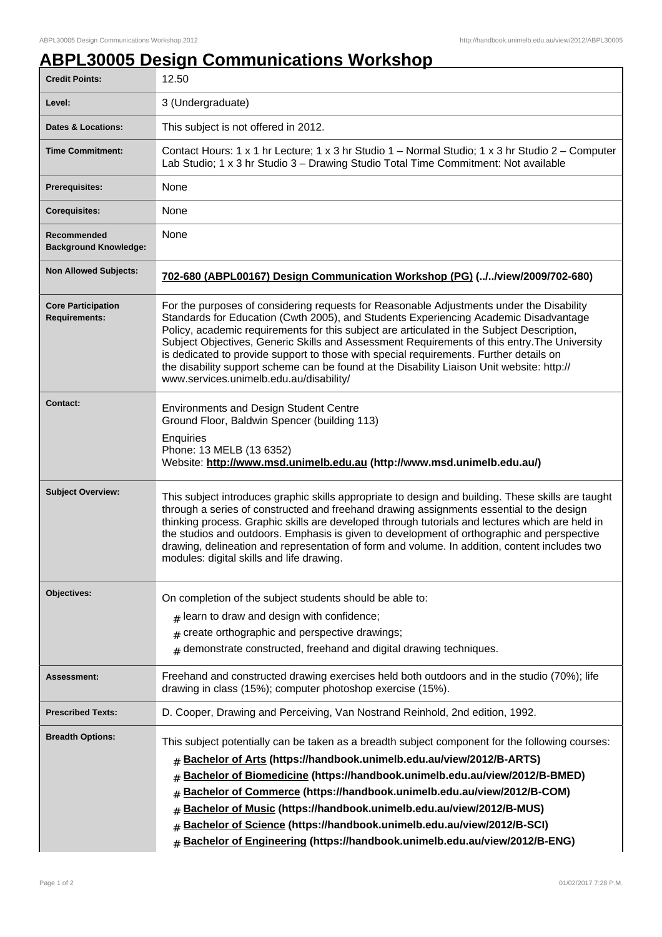## **ABPL30005 Design Communications Workshop**

| <b>Credit Points:</b>                             | 12.50                                                                                                                                                                                                                                                                                                                                                                                                                                                                                                                                                                                                             |
|---------------------------------------------------|-------------------------------------------------------------------------------------------------------------------------------------------------------------------------------------------------------------------------------------------------------------------------------------------------------------------------------------------------------------------------------------------------------------------------------------------------------------------------------------------------------------------------------------------------------------------------------------------------------------------|
| Level:                                            | 3 (Undergraduate)                                                                                                                                                                                                                                                                                                                                                                                                                                                                                                                                                                                                 |
| <b>Dates &amp; Locations:</b>                     | This subject is not offered in 2012.                                                                                                                                                                                                                                                                                                                                                                                                                                                                                                                                                                              |
| <b>Time Commitment:</b>                           | Contact Hours: 1 x 1 hr Lecture; 1 x 3 hr Studio 1 - Normal Studio; 1 x 3 hr Studio 2 - Computer<br>Lab Studio; 1 x 3 hr Studio 3 - Drawing Studio Total Time Commitment: Not available                                                                                                                                                                                                                                                                                                                                                                                                                           |
| <b>Prerequisites:</b>                             | None                                                                                                                                                                                                                                                                                                                                                                                                                                                                                                                                                                                                              |
| <b>Corequisites:</b>                              | None                                                                                                                                                                                                                                                                                                                                                                                                                                                                                                                                                                                                              |
| Recommended<br><b>Background Knowledge:</b>       | None                                                                                                                                                                                                                                                                                                                                                                                                                                                                                                                                                                                                              |
| <b>Non Allowed Subjects:</b>                      | 702-680 (ABPL00167) Design Communication Workshop (PG) (//view/2009/702-680)                                                                                                                                                                                                                                                                                                                                                                                                                                                                                                                                      |
| <b>Core Participation</b><br><b>Requirements:</b> | For the purposes of considering requests for Reasonable Adjustments under the Disability<br>Standards for Education (Cwth 2005), and Students Experiencing Academic Disadvantage<br>Policy, academic requirements for this subject are articulated in the Subject Description,<br>Subject Objectives, Generic Skills and Assessment Requirements of this entry. The University<br>is dedicated to provide support to those with special requirements. Further details on<br>the disability support scheme can be found at the Disability Liaison Unit website: http://<br>www.services.unimelb.edu.au/disability/ |
| <b>Contact:</b>                                   | <b>Environments and Design Student Centre</b><br>Ground Floor, Baldwin Spencer (building 113)<br>Enquiries<br>Phone: 13 MELB (13 6352)<br>Website: http://www.msd.unimelb.edu.au (http://www.msd.unimelb.edu.au/)                                                                                                                                                                                                                                                                                                                                                                                                 |
| <b>Subject Overview:</b>                          | This subject introduces graphic skills appropriate to design and building. These skills are taught<br>through a series of constructed and freehand drawing assignments essential to the design<br>thinking process. Graphic skills are developed through tutorials and lectures which are held in<br>the studios and outdoors. Emphasis is given to development of orthographic and perspective<br>drawing, delineation and representation of form and volume. In addition, content includes two<br>modules: digital skills and life drawing.                                                                     |
| Objectives:                                       | On completion of the subject students should be able to:<br>learn to draw and design with confidence;<br>#<br>create orthographic and perspective drawings;<br>#<br>demonstrate constructed, freehand and digital drawing techniques.<br>$\#$                                                                                                                                                                                                                                                                                                                                                                     |
| Assessment:                                       | Freehand and constructed drawing exercises held both outdoors and in the studio (70%); life<br>drawing in class (15%); computer photoshop exercise (15%).                                                                                                                                                                                                                                                                                                                                                                                                                                                         |
| <b>Prescribed Texts:</b>                          | D. Cooper, Drawing and Perceiving, Van Nostrand Reinhold, 2nd edition, 1992.                                                                                                                                                                                                                                                                                                                                                                                                                                                                                                                                      |
| <b>Breadth Options:</b>                           | This subject potentially can be taken as a breadth subject component for the following courses:<br>Bachelor of Arts (https://handbook.unimelb.edu.au/view/2012/B-ARTS)<br>#<br>Bachelor of Biomedicine (https://handbook.unimelb.edu.au/view/2012/B-BMED)<br>#<br>Bachelor of Commerce (https://handbook.unimelb.edu.au/view/2012/B-COM)<br>#<br>Bachelor of Music (https://handbook.unimelb.edu.au/view/2012/B-MUS)<br>#<br>Bachelor of Science (https://handbook.unimelb.edu.au/view/2012/B-SCI)<br>#<br>Bachelor of Engineering (https://handbook.unimelb.edu.au/view/2012/B-ENG)<br>#                         |